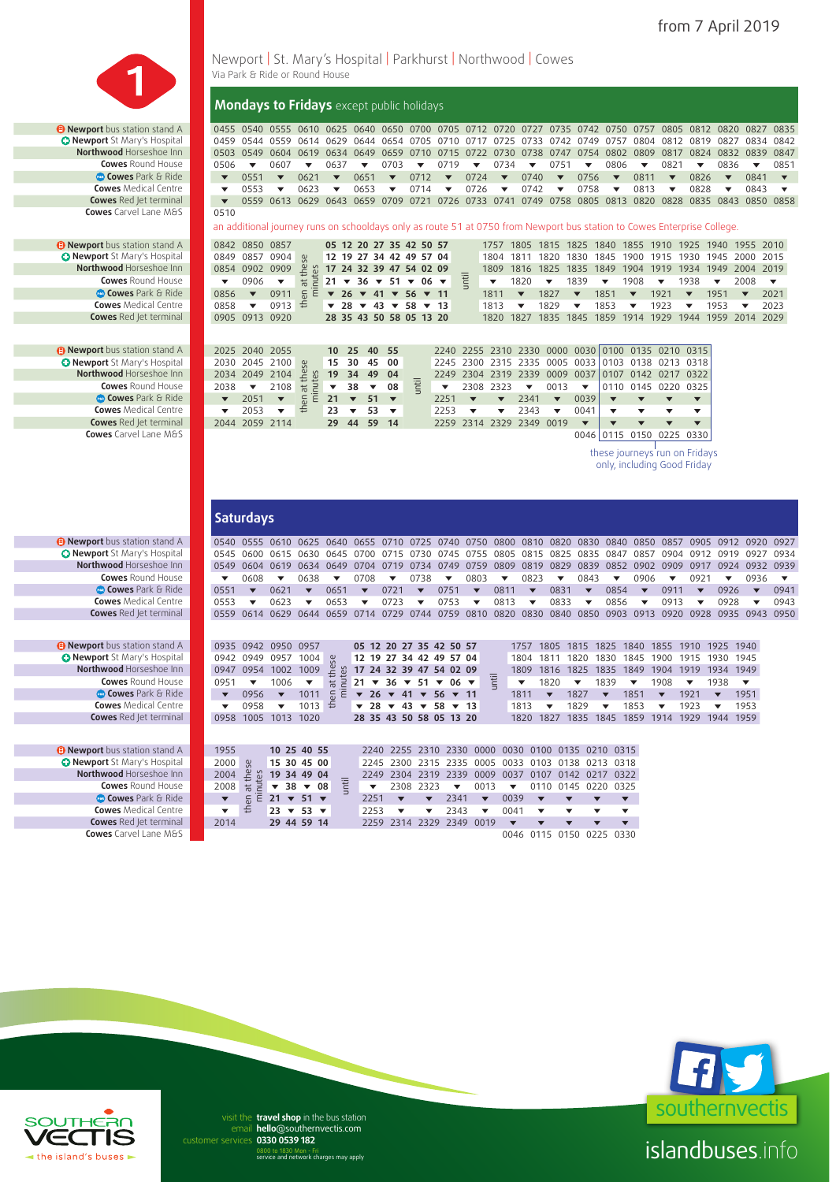

**B Newport** bus station stand A *O* Newport St Mary's Hospital **Northwood** Horseshoe Inn **Cowes** Round House **Cowes** Park & Ride **Cowes** Medical Centre **Cowes** Red Jet terminal **Cowes** Carvel Lane M&S

*B* Newport bus station stand A *<u>O Newport St Mary's Hospital</u>* **Northwood** Horseshoe Inn **Cowes** Round House **Cowes** Park & Ride **Cowes** Red Jet terminal

*B* Newport bus station stand A *<u>O Newport St Mary's Hospital</u>* **Northwood** Horseshoe Inn **Cowes** Round House **Cowes** Park & Ride **Cowes** Medical Centre **Cowes** Red Jet terminal **Cowes** Carvel Lane M&S

*B* Newport bus station stand A **Cowes** Round House **Cowes** Park & Ride **Cowes** Medical Centre **Cowes** Red Jet terminal

*B* Newport bus station stand A *O* Newport St Mary's Hospital **Northwood** Horseshoe Inn **Cowes** Round House **Cowes** Park & Ride **Cowes** Medical Centre **Cowes** Red Jet terminal

*<b>B* Newport bus station stand A *<u>D Newport St Mary's Hospital</u>* **COWES** Park & Ride **Cowes** Medical Centre **Cowes** Red Jet terminal **Cowes** Carvel Lane M&S

Newport | St. Mary's Hospital | Parkhurst | Northwood | Cowes Via Park & Ride or Round House

## **Mondays to Fridays** except public holidays

|           |                          |                         |                          |                         |                          |                          |                         |                          |                          |                         |                                  |                          |                          |                         |                          |                         | 0455 0540 0555 0610 0625 0640 0650 0700 0705 0712 0720 0727 0735 0742 0750 0757 0805 0812 0820 0827 0835                                                          |                         |                          |                          |  |
|-----------|--------------------------|-------------------------|--------------------------|-------------------------|--------------------------|--------------------------|-------------------------|--------------------------|--------------------------|-------------------------|----------------------------------|--------------------------|--------------------------|-------------------------|--------------------------|-------------------------|-------------------------------------------------------------------------------------------------------------------------------------------------------------------|-------------------------|--------------------------|--------------------------|--|
|           |                          |                         |                          |                         |                          |                          |                         |                          |                          |                         |                                  |                          |                          |                         |                          |                         | 0459 0544 0559 0614 0629 0644 0654 0705 0710 0717 0725 0733 0742 0749 0757 0804 0812 0819 0827 0834 0842                                                          |                         |                          |                          |  |
|           |                          |                         |                          |                         |                          |                          |                         |                          |                          |                         |                                  |                          |                          |                         |                          |                         | 0503 0549 0604 0619 0634 0649 0659 0710 0715 0722 0730 0738 0747 0754 0802 0809 0817 0824 0832 0839 0847                                                          |                         |                          |                          |  |
| 0506      | $\overline{\phantom{a}}$ | 0607                    | $\overline{\mathbf{v}}$  | 0637                    | $\overline{\phantom{a}}$ | 0703                     | $\overline{\mathbf{v}}$ | 0719                     | $\overline{\phantom{0}}$ | 0734                    | $\overline{\mathbf{v}}$          | 0751                     | $\overline{\phantom{a}}$ | 0806                    | $\overline{\phantom{a}}$ | 0821                    | $\overline{\mathbf{v}}$                                                                                                                                           | 0836                    | $\overline{\phantom{a}}$ | 0851                     |  |
|           | 0551                     | $\overline{\mathbf{v}}$ | 0621                     | $\overline{\mathbf{v}}$ | 0651                     | $\overline{\mathbf{v}}$  | 0712                    | $\overline{\mathbf{v}}$  | 0724                     | $\overline{\mathbf{v}}$ | $0740 \quad \blacktriangleright$ |                          | 0756                     | $\blacktriangledown$    | 0811                     | $\overline{\mathbf{v}}$ | 0826                                                                                                                                                              | $\overline{\mathbf{v}}$ | 0841                     | $\overline{\mathbf{v}}$  |  |
|           | 0553                     | $\overline{\mathbf{v}}$ | 0623                     | $\overline{\mathbf{v}}$ | 0653                     | $\overline{\phantom{a}}$ | 0714                    | $\overline{\phantom{a}}$ | 0726                     | $\overline{\mathbf{v}}$ | 0742                             | $\overline{\phantom{a}}$ | 0758                     | $\overline{\mathbf{v}}$ | 0813                     | $\overline{\mathbf{v}}$ | 0828                                                                                                                                                              | $\overline{\mathbf{v}}$ | 0843                     | $\overline{\phantom{a}}$ |  |
|           |                          |                         |                          |                         |                          |                          |                         |                          |                          |                         |                                  |                          |                          |                         |                          |                         | 0559 0613 0629 0643 0659 0709 0721 0726 0733 0741 0749 0758 0805 0813 0820 0828 0835 0843 0850 0858                                                               |                         |                          |                          |  |
| 0510      |                          |                         |                          |                         |                          |                          |                         |                          |                          |                         |                                  |                          |                          |                         |                          |                         |                                                                                                                                                                   |                         |                          |                          |  |
|           |                          |                         |                          |                         |                          |                          |                         |                          |                          |                         |                                  |                          |                          |                         |                          |                         | an additional journey runs on schooldays only as route 51 at 0750 from Newport bus station to Cowes Enterprise College.                                           |                         |                          |                          |  |
|           | 0842 0850 0857           |                         |                          |                         |                          | 05 12 20 27 35 42 50 57  |                         |                          |                          |                         |                                  |                          |                          |                         |                          |                         | 1757 1805 1815 1825 1840 1855 1910 1925 1940 1955 2010                                                                                                            |                         |                          |                          |  |
| 0849 0857 |                          | 0904                    | မ္က                      |                         |                          | 12 19 27 34 42 49 57 04  |                         |                          |                          |                         |                                  |                          |                          |                         |                          |                         | 1804 1811 1820 1830 1845 1900 1915 1930 1945 2000 2015                                                                                                            |                         |                          |                          |  |
|           |                          |                         | $\overline{\phantom{a}}$ |                         |                          |                          |                         |                          |                          |                         |                                  |                          |                          |                         |                          |                         | $\overline{1000}$ $\overline{1011}$ $\overline{1000}$ $\overline{1000}$ $\overline{1010}$ $\overline{1001}$ $\overline{1010}$ $\overline{1001}$ $\overline{1001}$ |                         |                          |                          |  |

| <b>ort</b> St Mary's Hospital                                                                                  |                                                                                                          |                          | 0849 0857 0904 0 12 19 27 34 42 49 57 04 |                                                                                |  |  |  |                                                 |    |                                 |                |      |                          |      |                          | 1804 1811 1820 1830 1845 1900 1915 1930 1945 2000 2015 |                          |      |                             |      |
|----------------------------------------------------------------------------------------------------------------|----------------------------------------------------------------------------------------------------------|--------------------------|------------------------------------------|--------------------------------------------------------------------------------|--|--|--|-------------------------------------------------|----|---------------------------------|----------------|------|--------------------------|------|--------------------------|--------------------------------------------------------|--------------------------|------|-----------------------------|------|
| hwood Horseshoe Inn                                                                                            |                                                                                                          |                          |                                          |                                                                                |  |  |  |                                                 |    |                                 |                |      |                          |      |                          | 1809 1816 1825 1835 1849 1904 1919 1934 1949 2004 2019 |                          |      |                             |      |
| <b>Cowes</b> Round House                                                                                       |                                                                                                          | $\bullet$ 0906 $\bullet$ |                                          | $\frac{1}{10}$ $\frac{1}{2}$ 21 $\sqrt{36}$ $\sqrt{51}$ $\sqrt{06}$ $\sqrt{2}$ |  |  |  |                                                 | E. | $\overline{\phantom{0}}$        | 1820 $\bullet$ |      | $1839 - 7$               |      | 1908 $\bullet$           |                                                        | 1938 $\bullet$           |      | $2008$ $\blacktriangledown$ |      |
| <b>Cowes</b> Park & Ride                                                                                       | 0856 $\sqrt{ }$ 0911 $\frac{1}{9}$ $\frac{1}{5}$ $\sqrt{ }$ 26 $\sqrt{ }$ 41 $\sqrt{ }$ 56 $\sqrt{ }$ 11 |                          |                                          |                                                                                |  |  |  |                                                 |    | $1811 \quad \blacktriangledown$ |                | 1827 | $\blacktriangledown$     | 1851 | $\overline{\mathbf{v}}$  | 1921                                                   | $\blacktriangledown$     | 1951 | $\overline{\phantom{a}}$    | 2021 |
| <b>Cowes</b> Medical Centre                                                                                    | 0858                                                                                                     | $\overline{\phantom{0}}$ | $0913 \pm$                               |                                                                                |  |  |  | $\sqrt{28}$ $\times$ 43 $\times$ 58 $\times$ 13 |    | 1813 $\bullet$                  |                | 1829 | $\overline{\phantom{a}}$ | 1853 | $\overline{\phantom{a}}$ | 1923                                                   | $\overline{\phantom{a}}$ | 1953 | $\blacktriangledown$        | 2023 |
| <b>owes</b> Red Jet terminal                                                                                   |                                                                                                          |                          | 0905 0913 0920 28 35 43 50 58 05 13 20   |                                                                                |  |  |  |                                                 |    |                                 |                |      |                          |      |                          | 1820 1827 1835 1845 1859 1914 1929 1944 1959 2014 2029 |                          |      |                             |      |
|                                                                                                                |                                                                                                          |                          |                                          |                                                                                |  |  |  |                                                 |    |                                 |                |      |                          |      |                          |                                                        |                          |      |                             |      |
|                                                                                                                |                                                                                                          |                          |                                          |                                                                                |  |  |  |                                                 |    |                                 |                |      |                          |      |                          |                                                        |                          |      |                             |      |
| and the second control of the second second terms of the second second terms of the second second terms of the |                                                                                                          |                          |                                          |                                                                                |  |  |  |                                                 |    |                                 |                |      |                          |      |                          |                                                        |                          |      |                             |      |

| <b>port</b> bus station stand A          |                      | 2025 2040 2055       |                |                                    |                          |                         | 10 25 40 55 |    |      |                                |      |                             |                         |                                                   |                           | 2240 2255 2310 2330 0000 0030 0100 0135 0210 0315 |
|------------------------------------------|----------------------|----------------------|----------------|------------------------------------|--------------------------|-------------------------|-------------|----|------|--------------------------------|------|-----------------------------|-------------------------|---------------------------------------------------|---------------------------|---------------------------------------------------|
| <b>wport</b> St Mary's Hospital <b> </b> |                      |                      | 2030 2045 2100 | ு                                  |                          | 15 30 45                |             | 00 |      |                                |      |                             |                         | 2245 2300 2315 2335 0005 0033 0103 0138 0213 0318 |                           |                                                   |
| <b>orthwood</b> Horseshoe Inn I          |                      |                      | 2034 2049 2104 | _ ಜ                                |                          |                         | 19 34 49 04 |    |      |                                |      |                             |                         | 2249 2304 2319 2339 0009 0037 0107 0142 0217 0322 |                           |                                                   |
| <b>Cowes</b> Round House                 | 2038                 | $\blacktriangledown$ | 2108           | $\frac{1}{2}$                      | $\overline{\phantom{a}}$ | $38 \times$             |             | 08 |      | $\sqrt{2308}$ 2323 $\sqrt{21}$ |      | $0013$ $\blacktriangledown$ |                         | 0110 0145 0220 0325                               |                           |                                                   |
| <b>Cowes</b> Park & Ride                 | $\blacktriangledown$ | $2051 -$             |                | $E E = 21$ $\sqrt{51}$ $\sqrt{21}$ |                          |                         |             |    | 2251 |                                | 2341 | $\blacktriangledown$        | $0039$ $\bullet$        |                                                   | $\mathbf{v}$ $\mathbf{v}$ |                                                   |
| <b>Cowes</b> Medical Centre              |                      | 2053                 |                | £                                  | 23                       | $\overline{\mathbf{v}}$ | 53.         |    | 2253 |                                | 2343 | $\overline{\phantom{a}}$    | 0041                    |                                                   |                           |                                                   |
|                                          |                      |                      |                |                                    |                          |                         |             |    |      |                                |      |                             |                         |                                                   |                           |                                                   |
| <b>Cowes</b> Red Jet terminal            |                      |                      | 2044 2059 2114 |                                    |                          |                         | 29 44 59 14 |    |      | 2259 2314 2329 2349 0019       |      |                             | $\overline{\mathbf{v}}$ | $\mathbf{v}$                                      |                           |                                                   |

these journeys run on Fridays only, including Good Friday

|                                    |                          | <b>Saturdays</b>         |                          |                         |                         |                         |                        |                         |                          |                                                 |                         |                         |                         |                         |                                                   |                          |                         |      |                         |                          |                         |                         |
|------------------------------------|--------------------------|--------------------------|--------------------------|-------------------------|-------------------------|-------------------------|------------------------|-------------------------|--------------------------|-------------------------------------------------|-------------------------|-------------------------|-------------------------|-------------------------|---------------------------------------------------|--------------------------|-------------------------|------|-------------------------|--------------------------|-------------------------|-------------------------|
| <b>Newport</b> bus station stand A | 0540                     | 0555                     | 0610                     | 0625                    | 0640                    | 0655                    |                        | 0710                    | 0725                     | 0740                                            | 0750                    | 0800                    | 0810                    | 0820                    | 0830                                              | 0840                     | 0850                    | 0857 | 0905                    | 0912                     | 0920                    | 0927                    |
| <b>Newport</b> St Mary's Hospital  | 0545                     | 0600                     | 0615 0630                |                         | 0645                    | 0700                    |                        | 0715                    |                          | 0730 0745                                       | 0755 0805               |                         | 0815                    | 0825                    | 0835                                              | 0847                     | 0857                    | 0904 |                         | 0912 0919                | 0927                    | 0934                    |
| Northwood Horseshoe Inn            | 0549                     | 0604                     | 0619                     | 0634                    | 0649                    | 0704                    |                        | 0719                    | 0734                     | 0749                                            | 0759                    | 0809                    | 0819                    | 0829                    | 0839                                              | 0852                     | 0902                    | 0909 | 0917                    | 0924                     | 0932                    | 0939                    |
| <b>Cowes</b> Round House           |                          | 0608                     | $\overline{\mathbf{v}}$  | 0638                    | $\overline{\mathbf{v}}$ | 0708                    |                        | $\overline{\mathbf{v}}$ | 0738                     | $\overline{\mathbf{v}}$                         | 0803                    | $\overline{\mathbf{v}}$ | 0823                    | $\overline{\mathbf{v}}$ | 0843                                              |                          | 0906                    | ▼    | 0921                    |                          | 0936                    | $\overline{\mathbf{v}}$ |
| <b>Cowes</b> Park & Ride           | 0551                     | $\overline{\mathbf{v}}$  | 0621                     | $\overline{\mathbf{v}}$ | 0651                    |                         |                        | 0721                    |                          | 0751                                            | $\overline{\mathbf{v}}$ | 0811                    | $\overline{\mathbf{v}}$ | 0831                    | $\overline{\mathbf{v}}$                           | 0854                     | $\overline{\mathbf{v}}$ | 0911 |                         | 0926                     | $\overline{\mathbf{v}}$ | 0941                    |
| <b>Cowes</b> Medical Centre        | 0553                     | $\overline{\phantom{a}}$ | 0623                     | $\overline{\mathbf{v}}$ | 0653                    | $\overline{\mathbf{v}}$ |                        | 0723                    | $\overline{\phantom{a}}$ | 0753                                            | $\overline{\mathbf{v}}$ | 0813                    | $\overline{\mathbf{v}}$ | 0833                    | $\overline{\mathbf{v}}$                           | 0856                     | ▼                       | 0913 | $\overline{\mathbf{v}}$ | 0928                     | $\overline{\mathbf{v}}$ | 0943                    |
| <b>Cowes</b> Red Jet terminal      | 0559                     | 0614                     | 0629                     | 0644                    | 0659                    | 0714                    |                        | 0729                    | 0744                     | 0759                                            | 0810                    | 0820                    | 0830                    | 0840                    | 0850                                              | 0903                     | 0913                    | 0920 | 0928                    |                          | 0935 0943               | 0950                    |
|                                    |                          |                          |                          |                         |                         |                         |                        |                         |                          |                                                 |                         |                         |                         |                         |                                                   |                          |                         |      |                         |                          |                         |                         |
| <b>Newport</b> bus station stand A |                          | 0935 0942                | 0950 0957                |                         |                         |                         |                        |                         |                          | 05 12 20 27 35 42 50 57                         |                         |                         | 1757                    | 1805                    | 1815                                              | 1825                     | 1840                    | 1855 | 1910                    | 1925                     | 1940                    |                         |
| Newport St Mary's Hospital         | 0942                     | 0949                     | 0957                     | 1004                    | မ္တ                     |                         |                        |                         |                          | 12 19 27 34 42 49 57 04                         |                         |                         | 1804                    | 1811                    | 1820                                              | 1830                     | 1845                    | 1900 | 1915                    | 1930                     | 1945                    |                         |
| Northwood Horseshoe Inn            | 0947                     | 0954                     | 1002                     | 1009                    | ്ട് ഒ                   |                         |                        |                         |                          | 17 24 32 39 47 54 02 09                         |                         |                         | 1809                    | 1816                    | 1825                                              | 1835                     | 1849                    | 1904 | 1919                    | 1934 1949                |                         |                         |
| <b>Cowes</b> Round House           | 0951                     | ▼                        | 1006                     | $\overline{\mathbf{v}}$ | $\overline{\pi}$        | 21                      |                        |                         |                          | $\sqrt{36}$ $\sqrt{51}$ $\sqrt{06}$ $\sqrt{2}$  |                         | Ē                       | ▼                       | 1820                    | ▼                                                 | 1839                     | ▼                       | 1908 | ▼                       | 1938                     | ▼                       |                         |
| <b>Cowes</b> Park & Ride           |                          | 0956                     | $\blacktriangledown$     | 1011                    | 듮<br>F                  |                         |                        |                         |                          | $\sqrt{26}$ $\sqrt{41}$ $\sqrt{56}$ $\sqrt{11}$ |                         |                         | 1811                    | $\blacktriangledown$    | 1827                                              | $\blacktriangledown$     | 1851                    |      | 1921                    |                          | 1951                    |                         |
| <b>Cowes</b> Medical Centre        | $\overline{\phantom{a}}$ | 0958                     | $\overline{\phantom{a}}$ | 1013                    | €                       |                         | $\sqrt{28}$ $\sqrt{2}$ |                         | $43 \times$              | 58                                              | $\blacktriangledown$ 13 |                         | 1813                    |                         | 1829                                              | $\overline{\phantom{a}}$ | 1853                    | ▼    | 1923                    | $\overline{\phantom{a}}$ | 1953                    |                         |
| <b>Cowes</b> Red Jet terminal      | 0958                     | 1005                     | 1013                     | 1020                    |                         |                         |                        |                         |                          | 28 35 43 50 58 05 13 20                         |                         |                         | 1820                    | 1827                    | 1835                                              | 1845                     | 1859                    | 1914 | 1929                    | 1944                     | 1959                    |                         |
|                                    |                          |                          |                          |                         |                         |                         |                        |                         |                          |                                                 |                         |                         |                         |                         |                                                   |                          |                         |      |                         |                          |                         |                         |
| <b>Newport</b> bus station stand A | 1955                     |                          |                          | 10 25 40 55             |                         |                         | 2240                   | 2255                    | 2310                     | 2330                                            | 0000                    |                         | 0030                    | 0100                    | 0135 0210 0315                                    |                          |                         |      |                         |                          |                         |                         |
| <b>Newport</b> St Mary's Hospital  | 2000                     | °s                       |                          | 15 30 45 00             |                         |                         | 2245                   | 2300                    | 2315                     | 2335                                            | 0005                    |                         | 0033                    | 0103                    | 0138 0213 0318                                    |                          |                         |      |                         |                          |                         |                         |
| Northwood Horcochoo Inn            | 2001                     | $\sim$                   | $10.24.40.04$            |                         |                         |                         |                        |                         |                          |                                                 |                         |                         |                         |                         | ררכה דורה רווה דהוה דכהה הההה הככר הוכר והכר הורר |                          |                         |      |                         |                          |                         |                         |

| <b>Newport</b> St Mary's Hospital | 2000                    | ്റ്                                                                |  | 15 30 45 00           |  |                                                   |                      | 2245 2300 2315 2335 0005 0033 0103 0138 0213 0318 |                             |                             |                           |                          |                          |  |
|-----------------------------------|-------------------------|--------------------------------------------------------------------|--|-----------------------|--|---------------------------------------------------|----------------------|---------------------------------------------------|-----------------------------|-----------------------------|---------------------------|--------------------------|--------------------------|--|
| Northwood Horseshoe Inn           | 2004                    | _ ಜ                                                                |  | 19 34 49 04           |  | 2249 2304 2319 2339 0009 0037 0107 0142 0217 0322 |                      |                                                   |                             |                             |                           |                          |                          |  |
| <b>Cowes</b> Round House          | 2008                    | $\frac{1}{10}$ $\frac{1}{6}$ $\frac{1}{2}$ $\sqrt{38}$ $\sqrt{08}$ |  |                       |  | $\frac{1}{2}$ $\sqrt{2308}$ 2323 $\sqrt{211}$     |                      |                                                   | $0013$ $\blacktriangledown$ |                             |                           |                          | 0110 0145 0220 0325      |  |
| <b>Cowes</b> Park & Ride          |                         | $E E 21 \times 51 \times$                                          |  |                       |  | 2251                                              | $\blacktriangledown$ | 2341                                              | $\blacktriangledown$        | $0039$ $\blacktriangledown$ |                           | $\overline{\phantom{a}}$ |                          |  |
| <b>Cowes</b> Medical Centre       | $\overline{\mathbf{v}}$ | £                                                                  |  | $23 \times 53 \times$ |  | $2253 - 7$                                        | $\blacktriangledown$ | 2343                                              | $\overline{\phantom{a}}$    | $0041$ $\blacktriangledown$ |                           | $\overline{\mathbf{v}}$  |                          |  |
| <b>Cowes</b> Red Jet terminal     | 2014                    |                                                                    |  | 29 44 59 14           |  |                                                   |                      | 2259 2314 2329 2349 0019                          |                             | $\overline{\phantom{a}}$    | $\mathbf{v}$ $\mathbf{v}$ |                          |                          |  |
| <b>Cowes</b> Carvel Lane M&S      |                         |                                                                    |  |                       |  |                                                   |                      |                                                   |                             |                             |                           |                          | 0046 0115 0150 0225 0330 |  |





email hello@southernvectis.com **0330 0539 182** customer services 0800 to 1830 Mon - Fri service and network charges may apply visit the travel shop in the bus station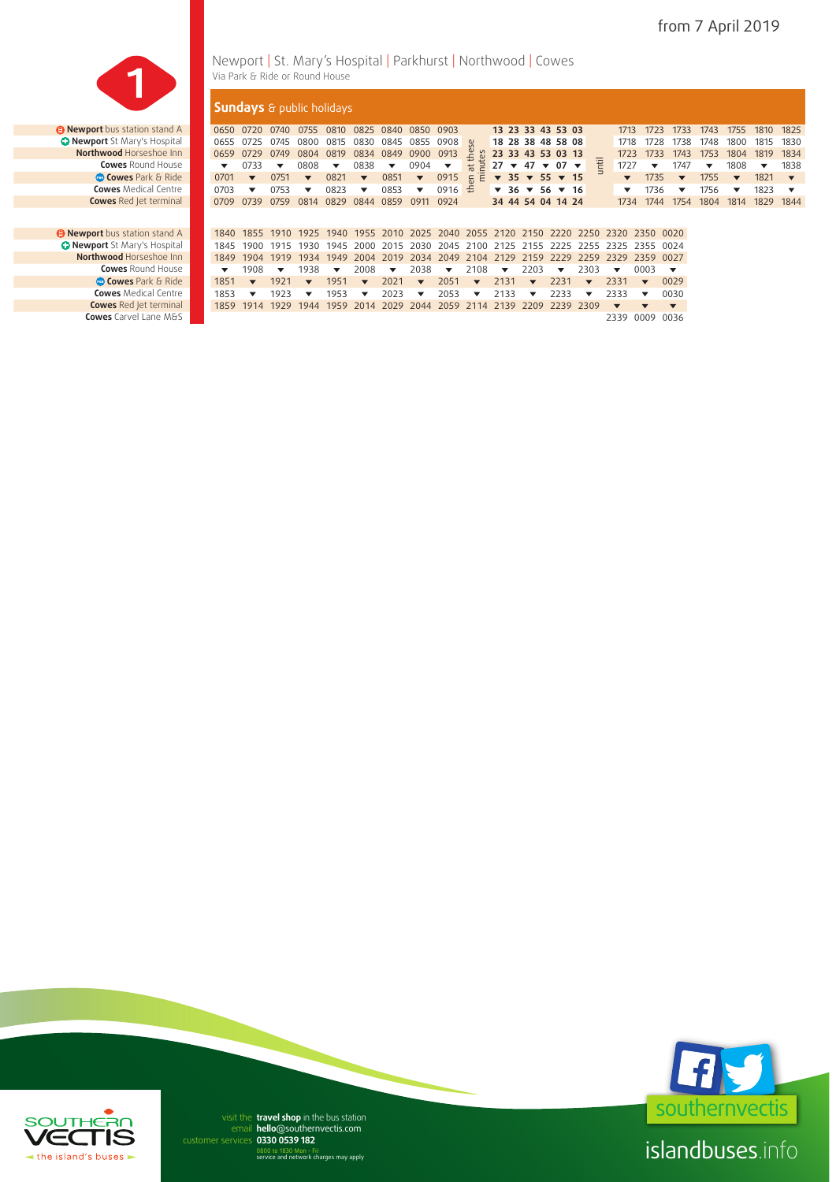

*B* Newport bus station stand A **Cowes** Round House **Cowes** Park & Ride **Cowes** Medical Centre **Cowes** Red Jet terminal

*B* Newport bus station stand A *C* Newport St Mary's Hospital **Northwood** Horseshoe Inn **Cowes** Round House **COWES** Park & Ride **Cowes** Carvel Lane M&S

Newport | St. Mary's Hospital | Parkhurst | Northwood | Cowes Via Park & Ride or Round House

### **Sundays** & public holidays

| <b>Newport</b> bus station stand A | 0650 | 0720                 | 0740      | 0755                 | 0810                     | 0825      | 0840                     | 0850                    | 0903                               |                              |                          | 13 23 33 43 53 03                        |      |                         | 1713                 | 1723                 | 1733                    | 1743 | 1755                    | 1810 | 1825                 |
|------------------------------------|------|----------------------|-----------|----------------------|--------------------------|-----------|--------------------------|-------------------------|------------------------------------|------------------------------|--------------------------|------------------------------------------|------|-------------------------|----------------------|----------------------|-------------------------|------|-------------------------|------|----------------------|
| <b>Newport</b> St Mary's Hospital  | 0655 | 0725                 | 0745      | 0800                 | 0815                     | 0830      | 0845                     | 0855                    | 0908                               | ္က                           |                          | 18 28 38 48 58 08                        |      |                         | 1718                 | 1728                 | 1738                    | 1748 | 1800                    | 1815 | 1830                 |
| Northwood Horseshoe Inn            | 0659 | 0729                 | 0749      | 0804                 | 0819                     | 0834      | 0849                     | 0900                    | 0913                               | $\mathbb{H}$                 |                          | 23 33 43 53 03 13                        |      |                         | 1723                 | 1733                 | 1743                    | 1753 | 1804                    | 1819 | 1834                 |
| <b>Cowes</b> Round House           | ▼    | 0733                 |           | 0808                 |                          | 0838      | ▼                        | 0904                    | ▼                                  | $\overline{5}$               | 27                       | $47 \bullet$<br>$\overline{\phantom{a}}$ | 07   | ii<br>▼                 | 1727                 | ▼                    | 1747                    |      | 1808                    | ▼    | 1838                 |
| <b>Cowes</b> Park & Ride           | 0701 | $\blacktriangledown$ | 0751      | $\blacktriangledown$ | 0821                     |           | 0851                     | $\blacktriangledown$    | 0915                               | $\epsilon$<br>$\overline{a}$ | $\blacktriangledown$     | $35 \times 55 \times 15$                 |      |                         | $\blacktriangledown$ | 1735                 | $\blacktriangledown$    | 1755 | $\blacktriangledown$    | 1821 | $\blacktriangledown$ |
| <b>Cowes</b> Medical Centre        | 0703 | ▼                    | 0753      | ▼                    | 0823                     |           | 0853                     | ▼                       | 0916                               | £                            |                          | $\sqrt{36}$ $\sqrt{56}$ $\sqrt{16}$      |      |                         | ▼                    | 1736                 | $\overline{\mathbf{v}}$ | 1756 | $\overline{\mathbf{v}}$ | 1823 | ▼                    |
| <b>Cowes</b> Red Jet terminal      | 0709 | 0739                 | 0759      | 0814                 | 0829                     | 0844      | 0859                     | 0911                    | 0924                               |                              |                          | 34 44 54 04 14 24                        |      |                         | 1734                 | 1744                 | 1754                    | 1804 | 1814                    | 1829 | 1844                 |
|                                    |      |                      |           |                      |                          |           |                          |                         |                                    |                              |                          |                                          |      |                         |                      |                      |                         |      |                         |      |                      |
|                                    |      |                      |           |                      |                          |           |                          |                         |                                    |                              |                          |                                          |      |                         |                      |                      |                         |      |                         |      |                      |
| <b>Newport</b> bus station stand A | 1840 | 1855                 | 1910 1925 |                      | 1940                     | 1955 2010 |                          |                         | 2025 2040 2055 2120 2150 2220      |                              |                          |                                          |      | 2250                    |                      | 2320 2350 0020       |                         |      |                         |      |                      |
| <b>Newport</b> St Mary's Hospital  | 1845 | 1900                 | 1915      | 1930                 | 1945                     | 2000      |                          |                         | 2015 2030 2045 2100 2125 2155 2225 |                              |                          |                                          |      | 2255                    | 2325                 | 2355 0024            |                         |      |                         |      |                      |
| Northwood Horseshoe Inn            | 1849 | 1904                 | 1919      | 1934                 | 1949                     | 2004      | 2019                     |                         | 2034 2049                          | 2104 2129                    |                          | 2159                                     | 2229 | 2259                    | 2329                 | 2359 0027            |                         |      |                         |      |                      |
| <b>Cowes</b> Round House           | ▼    | 1908                 | ▼         | 1938                 | $\overline{\phantom{a}}$ | 2008      | $\overline{\phantom{a}}$ | 2038                    | ▼                                  | 2108                         | $\overline{\phantom{a}}$ | 2203                                     |      | 2303                    | ▼                    | 0003                 | $\overline{\mathbf{v}}$ |      |                         |      |                      |
| <b>Cowes</b> Park & Ride           | 1851 | $\blacktriangledown$ | 1921      | $\blacktriangledown$ | 1951                     |           | 2021                     | $\overline{\mathbf{v}}$ | 2051                               | $\blacktriangledown$         | 2131                     | $\blacktriangledown$                     | 2231 | $\overline{\mathbf{v}}$ | 2331                 | $\blacktriangledown$ | 0029                    |      |                         |      |                      |
| <b>Cowes</b> Medical Centre        | 1853 | ▼                    | 1923      | ▼                    | 1953                     | ▼         | 2023                     | ▼                       | 2053                               | $\overline{\mathbf{v}}$      | 2133                     |                                          | 2233 | $\overline{\mathbf{v}}$ | 2333                 | ▼                    | 0030                    |      |                         |      |                      |
| <b>Cowes</b> Red Jet terminal      | 1859 | 1914                 | 1929      | 1944                 | 1959                     | 2014      | 2029                     |                         | 2044 2059 2114 2139 2209           |                              |                          |                                          | 2239 | 2309                    | $\blacktriangledown$ |                      | $\blacktriangledown$    |      |                         |      |                      |
| Cowes Carvel Lane M&S              |      |                      |           |                      |                          |           |                          |                         |                                    |                              |                          |                                          |      |                         | 2339                 | 0009                 | 0036                    |      |                         |      |                      |
|                                    |      |                      |           |                      |                          |           |                          |                         |                                    |                              |                          |                                          |      |                         |                      |                      |                         |      |                         |      |                      |





**hello**@southernvectis.com **0330 0539 182** 0800 to 1830 Mon - Fri service and network charges may apply email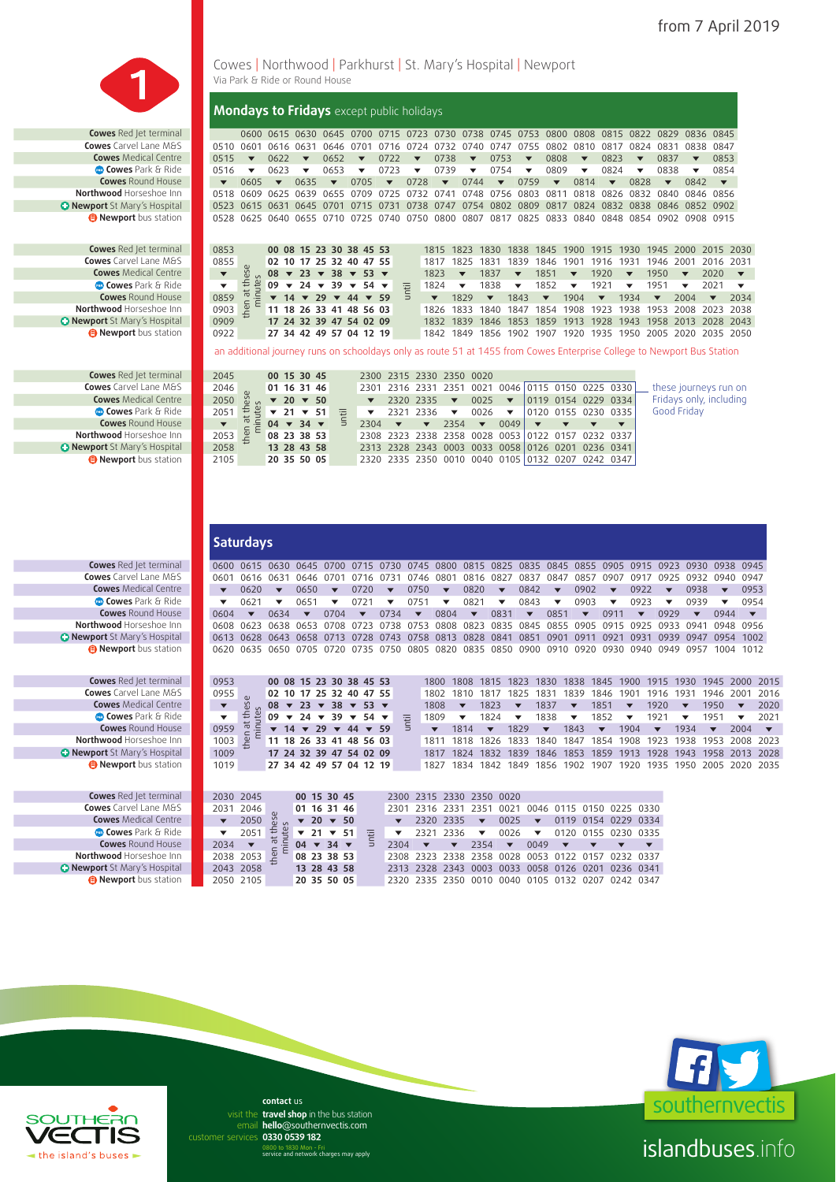

**Cowes** Red Jet terminal **Cowes** Carvel Lane M&S **Cowes** Medical Centre **Cowes** Park & Ride **Cowes** Round House **Northwood** Horseshoe Inn *O* Newport St Mary's Hospital *B* Newport bus station

**Cowes** Red Jet terminal **Cowes** Carvel Lane M&S **Cowes** Medical Centre<br>**© Cowes** Park & Ride **Cowes** Round House **Northwood** Horseshoe Inn *O* Newport St Mary's Hospital **B** Newport bus station

**Cowes** Red Jet terminal **Cowes** Carvel Lane M&S **Cowes** Medical Centre **Cowes** Park & Ride **Cowes** Round House **Northwood** Horseshoe Inn **2 Newport** St Mary's Hospital **3 Newport** bus station

**Cowes** Red Jet terminal **Cowes** Carvel Lane M&S **Cowes** Medical Centre **Cowes** Park & Ride **Cowes** Round House **Northwood** Horseshoe Inn *O* Newport St Mary's Hospital *B* Newport bus station

**Cowes** Red Jet terminal **Cowes** Carvel Lane M&S **Cowes** Medical Centre **Cowes** Park & Ride **Cowes** Round House **Northwood** Horseshoe Inn *D* **Newport St Mary's Hospital 2 Newport** bus station

**Cowes** Red Jet terminal **Cowes** Carvel Lane M&S **Cowes** Medical Centre **Cowes** Park & Ride **Cowes** Round House **Northwood Horseshoe Inn** *O* Newport St Mary's Hospital *<u>B</u>* Newport bus station

**SOUTHE** 

Cowes | Northwood | Parkhurst | St. Mary's Hospital | Newport Via Park & Ride or Round House

#### **Mondays to Fridays** except public holidays

| 0600 0615 0630 0645 0700 0715 0723 0730 0738 0745 0753 0800 0808 0815 0822 0829 0836 0845<br>0510 0601 0616 0631 0646 0701 0716 0724 0732 0740 0747 0755 0802 0810 0817 0824 0831 0838 0847                                                                 |  |
|-------------------------------------------------------------------------------------------------------------------------------------------------------------------------------------------------------------------------------------------------------------|--|
|                                                                                                                                                                                                                                                             |  |
|                                                                                                                                                                                                                                                             |  |
| $0.0515$ $\blacktriangleright$ 0622 $\blacktriangleright$ 0652 $\blacktriangleright$ 0722 $\blacktriangleright$ 0738 $\blacktriangleright$ 0753 $\blacktriangleright$ 0808 $\blacktriangleright$ 0823 $\blacktriangleright$ 0837 $\blacktriangleright$ 0853 |  |
| 0516 $\bullet$ 0623 $\bullet$ 0653 $\bullet$ 0723 $\bullet$ 0739 $\bullet$ 0754 $\bullet$ 0809 $\bullet$ 0824 $\bullet$ 0838 $\bullet$ 0854                                                                                                                 |  |
| $\bullet$ 0605 $\bullet$ 0635 $\bullet$ 0705 $\bullet$ 0728 $\bullet$ 0744 $\bullet$ 0759 $\bullet$ 0814 $\bullet$ 0828 $\bullet$ 0842 $\bullet$                                                                                                            |  |
| 0518 0609 0625 0639 0655 0709 0725 0732 0741 0748 0756 0803 0811 0818 0826 0832 0840 0846 0856                                                                                                                                                              |  |
|                                                                                                                                                                                                                                                             |  |
| 0523 0615 0631 0645 0701 0715 0731 0738 0747 0754 0802 0809 0817 0824 0832 0838 0846 0852 0902                                                                                                                                                              |  |

| res Red Jet terminal        | 0853                                                                                             |                                                                                        |  |  |  | 00 08 15 23 30 38 45 53 |        |                |                             |                                  |                      |                                                 |                 |                                |                          | 1815 1823 1830 1838 1845 1900 1915 1930 1945 2000 2015 2030 |  |
|-----------------------------|--------------------------------------------------------------------------------------------------|----------------------------------------------------------------------------------------|--|--|--|-------------------------|--------|----------------|-----------------------------|----------------------------------|----------------------|-------------------------------------------------|-----------------|--------------------------------|--------------------------|-------------------------------------------------------------|--|
| es Carvel Lane M&S          | 0855                                                                                             |                                                                                        |  |  |  | 02 10 17 25 32 40 47 55 |        |                |                             |                                  |                      |                                                 |                 |                                |                          | 1817 1825 1831 1839 1846 1901 1916 1931 1946 2001 2016 2031 |  |
| wes Medical Centre          | $\mathbf{v}$                                                                                     | $8.08 \times 23 \times 38 \times 53 \times$                                            |  |  |  |                         |        | $1823 \times$  |                             | $1837 \quad \blacktriangleright$ |                      | $1851 \quad \bullet$                            | $1920 \times$   | 1950                           | $\overline{\phantom{a}}$ | $2020 - 7$                                                  |  |
| <b>Cowes</b> Park & Ride    | $\mathbf{v}$ $\in$ $\frac{0}{2}$ 09 $\mathbf{v}$ 24 $\mathbf{v}$ 39 $\mathbf{v}$ 54 $\mathbf{v}$ |                                                                                        |  |  |  |                         | 売      | 1824 $\bullet$ |                             |                                  |                      | 1838 $\sqrt{ }$ 1852 $\sqrt{ }$ 1921 $\sqrt{ }$ |                 | $1951 -$                       |                          | $2021 - 7$                                                  |  |
|                             |                                                                                                  |                                                                                        |  |  |  |                         |        |                |                             |                                  |                      |                                                 |                 |                                |                          |                                                             |  |
| <b>owes</b> Round House     | 0859                                                                                             | $\overline{P} = \overline{V}$ 14 $\overline{V}$ 29 $\overline{V}$ 44 $\overline{V}$ 59 |  |  |  |                         | $\Box$ | $\sqrt{2}$     | $1829$ $\blacktriangledown$ |                                  | $1843 \quad \bullet$ |                                                 | 1904 $\sqrt{ }$ | $1934 \times 2004 \times 2034$ |                          |                                                             |  |
| vood Horseshoe Inn          | $0903 \stackrel{\sqrt{5}}{2}$ = 11 18 26 33 41 48 56 03                                          |                                                                                        |  |  |  |                         |        |                |                             |                                  |                      |                                                 |                 |                                |                          | 1826 1833 1840 1847 1854 1908 1923 1938 1953 2008 2023 2038 |  |
| <b>t</b> St Mary's Hospital | $0909$ <sup>+</sup>                                                                              |                                                                                        |  |  |  | 17 24 32 39 47 54 02 09 |        |                |                             |                                  |                      |                                                 |                 |                                |                          | 1832 1839 1846 1853 1859 1913 1928 1943 1958 2013 2028 2043 |  |

an additional journey runs on schooldays only as route 51 at 1455 from Cowes Enterprise College to Newport Bus Station

## **Saturdays**

|      | 0600 0615 0630 0645 0700 0715 0730 0745 0800 0815 0825 0835 0845 0855 0905 0915 0923 0930 0938 0945 |                             |                         |                                                |                  |                           |                             |                             |                                   |            |                             |            |      |                          |                             |                                                                                                     |
|------|-----------------------------------------------------------------------------------------------------|-----------------------------|-------------------------|------------------------------------------------|------------------|---------------------------|-----------------------------|-----------------------------|-----------------------------------|------------|-----------------------------|------------|------|--------------------------|-----------------------------|-----------------------------------------------------------------------------------------------------|
|      | 0601 0616 0631 0646 0701 0716 0731 0746 0801 0816 0827 0837 0847 0857 0907 0917 0925 0932 0940 0947 |                             |                         |                                                |                  |                           |                             |                             |                                   |            |                             |            |      |                          |                             |                                                                                                     |
|      | 0620                                                                                                | 0650                        | $\overline{\mathbf{v}}$ | 0720                                           | $\mathbf{v}$     | $0750 \quad \bullet$      | $0820 \times$               | $0842$ $\bullet$            |                                   | $0902 - 7$ |                             | $0922 - 7$ |      | 0938                     |                             | 0953                                                                                                |
|      | $0621$ $\blacktriangledown$                                                                         | $0651$ $\blacktriangledown$ |                         |                                                | $0721 - 7$       | $0751 \times 0821 \times$ |                             | $0843$ $\blacktriangledown$ |                                   | $0903 - 7$ |                             | $0923 - 7$ |      | $0939 -$                 |                             | 0954                                                                                                |
|      |                                                                                                     |                             |                         |                                                |                  |                           |                             |                             |                                   |            |                             |            |      |                          |                             |                                                                                                     |
| 0604 |                                                                                                     | $\overline{\phantom{a}}$    | 0704                    | $\mathbf{v}$ and $\mathbf{v}$ and $\mathbf{v}$ | $0734$ $\bullet$ |                           | $0804$ $\blacktriangledown$ |                             | $0.831$ $\bullet$ 0.851 $\bullet$ |            | $0911$ $\blacktriangledown$ |            | 0929 | $\overline{\phantom{a}}$ | $0944$ $\blacktriangledown$ |                                                                                                     |
|      | 0608 0623 0638 0653 0708 0723 0738 0753 0808 0823 0835 0845 0855 0905 0915 0925 0933 0941 0948 0956 |                             |                         |                                                |                  |                           |                             |                             |                                   |            |                             |            |      |                          |                             |                                                                                                     |
|      |                                                                                                     |                             |                         |                                                |                  |                           |                             |                             |                                   |            |                             |            |      |                          |                             | 0613 0628 0643 0658 0713 0728 0743 0758 0813 0828 0841 0851 0901 0911 0921 0931 0939 0947 0954 1002 |

| 0953 |                                                                                                                                                                            |  |  |  | 00 08 15 23 30 38 45 53 |                            |   |                         |      |                         |                             |                                                                               |                             |                                 |            |                  |                |          | 1800 1808 1815 1823 1830 1838 1845 1900 1915 1930 1945 2000 2015 |
|------|----------------------------------------------------------------------------------------------------------------------------------------------------------------------------|--|--|--|-------------------------|----------------------------|---|-------------------------|------|-------------------------|-----------------------------|-------------------------------------------------------------------------------|-----------------------------|---------------------------------|------------|------------------|----------------|----------|------------------------------------------------------------------|
| 0955 |                                                                                                                                                                            |  |  |  |                         | 02 10 17 25 32 40 47 55    |   |                         |      |                         |                             | 1802 1810 1817 1825 1831 1839 1846 1901 1916 1931 1946 2001 2016              |                             |                                 |            |                  |                |          |                                                                  |
|      | $\frac{60}{100}$ 08 $\sqrt{23}$ $\sqrt{38}$ $\sqrt{53}$ $\sqrt{2}$                                                                                                         |  |  |  |                         |                            |   | 1808                    |      | $1823 - 7$              |                             | $1837 \times 7$                                                               | $1851$ $\blacktriangledown$ |                                 | $1920 - 7$ |                  | 1950           |          | 2020                                                             |
|      | $\overline{\bullet}$ $\stackrel{f}{\leftarrow}$ $\stackrel{g}{\leftarrow}$ 09 $\overline{\bullet}$ 24 $\overline{\bullet}$ 39 $\overline{\bullet}$ 54 $\overline{\bullet}$ |  |  |  |                         |                            | 击 | $1809 - 7$              |      | $1824 - 7$              |                             | 1838 $\blacktriangledown$ 1852 $\blacktriangledown$ 1921 $\blacktriangledown$ |                             |                                 |            |                  | 1951 $\bullet$ |          | 2021                                                             |
| 0959 | $\overline{P} = \overline{V}$ 14 $\overline{V}$ 29 $\overline{V}$ 44 $\overline{V}$ 59                                                                                     |  |  |  |                         |                            |   | $\overline{\mathbf{v}}$ | 1814 | $\overline{\mathbf{v}}$ | $1829$ $\blacktriangledown$ | $1843 \quad \bullet$                                                          |                             | $1904 \quad \blacktriangledown$ |            | $1934$ $\bullet$ |                | $2004 -$ |                                                                  |
| 1003 |                                                                                                                                                                            |  |  |  |                         | $-11$ 18 26 33 41 48 56 03 |   |                         |      |                         |                             | 1811 1818 1826 1833 1840 1847 1854 1908 1923 1938 1953 2008 2023              |                             |                                 |            |                  |                |          |                                                                  |
| 1009 |                                                                                                                                                                            |  |  |  |                         | 17 24 32 39 47 54 02 09    |   |                         |      |                         |                             |                                                                               |                             |                                 |            |                  |                |          | 1817 1824 1832 1839 1846 1853 1859 1913 1928 1943 1958 2013 2028 |
| 1019 |                                                                                                                                                                            |  |  |  |                         | 27 34 42 49 57 04 12 19    |   |                         |      |                         |                             | 1827 1834 1842 1849 1856 1902 1907 1920 1935 1950 2005 2020 2035              |                             |                                 |            |                  |                |          |                                                                  |

|            | 2030 2045                                        |                                      |  | 00153045 |                                                                                                    |  | 2300 2315 2330 2350 0020 |  |                                                   |                                                                                      |  |
|------------|--------------------------------------------------|--------------------------------------|--|----------|----------------------------------------------------------------------------------------------------|--|--------------------------|--|---------------------------------------------------|--------------------------------------------------------------------------------------|--|
|            | 2031 2046 01 16 31 46                            |                                      |  |          | 2301 2316 2331 2351 0021 0046 0115 0150 0225 0330                                                  |  |                          |  |                                                   |                                                                                      |  |
|            | $\bullet$ 2050                                   | $8.6 \times 20 \times 50$            |  |          | $\bullet$ 2320 2335 $\bullet$ 0025 $\bullet$ 0119 0154 0229 0334                                   |  |                          |  |                                                   |                                                                                      |  |
|            | $\bullet$ 2051 $\pm$ 2 $\bullet$ 21 $\bullet$ 51 |                                      |  |          | $\overline{E}$ ▼ 2321 2336 ▼ 0026 ▼ 0120 0155 0230 0335                                            |  |                          |  |                                                   |                                                                                      |  |
|            |                                                  |                                      |  |          |                                                                                                    |  |                          |  |                                                   |                                                                                      |  |
| $2034 - 7$ |                                                  | $\overline{P} = 04 \times 34 \times$ |  |          |                                                                                                    |  |                          |  |                                                   | 2304 $\bullet$ $\bullet$ 2354 $\bullet$ 0049 $\bullet$ $\bullet$ $\bullet$ $\bullet$ |  |
|            |                                                  |                                      |  |          | $2038$ 2053 $\frac{6}{2}$ $\epsilon$ 08 23 38 53 2308 2323 2338 2358 0028 0053 0122 0157 0232 0337 |  |                          |  |                                                   |                                                                                      |  |
|            | 2043 2058 13 28 43 58                            |                                      |  |          |                                                                                                    |  |                          |  | 2313 2328 2343 0003 0033 0058 0126 0201 0236 0341 |                                                                                      |  |



# islandbuses.info

**contact** us visit the **travel shop** in the bus station email hello@southernvectis.com **0330 0539 182** customer services  $\blacktriangleleft$  the island's buses  $\blacktriangleright$ 

0800 to 1830 Mon - Fri service and network charges may apply